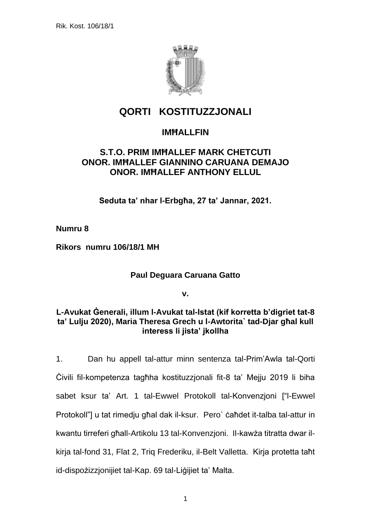

# **QORTI KOSTITUZZJONALI**

## **IMĦALLFIN**

## **S.T.O. PRIM IMĦALLEF MARK CHETCUTI ONOR. IMĦALLEF GIANNINO CARUANA DEMAJO ONOR. IMĦALLEF ANTHONY ELLUL**

**Seduta ta' nhar l-Erbgħa, 27 ta' Jannar, 2021.**

**Numru 8**

**Rikors numru 106/18/1 MH**

#### **Paul Deguara Caruana Gatto**

**v.**

#### **L-Avukat Ġenerali, illum l-Avukat tal-Istat (kif korretta b'digriet tat-8 ta' Lulju 2020), Maria Theresa Grech u l-Awtorita` tad-Djar għal kull interess li jista' jkollha**

1. Dan hu appell tal-attur minn sentenza tal-Prim'Awla tal-Qorti Ċivili fil-kompetenza tagħha kostituzzjonali fit-8 ta' Mejju 2019 li biha sabet ksur ta' Art. 1 tal-Ewwel Protokoll tal-Konvenzjoni ["l-Ewwel Protokoll"] u tat rimedju għal dak il-ksur. Pero` ċaħdet it-talba tal-attur in kwantu tirreferi għall-Artikolu 13 tal-Konvenzjoni. Il-kawża titratta dwar ilkirja tal-fond 31, Flat 2, Triq Frederiku, il-Belt Valletta. Kirja protetta taħt id-dispożizzjonijiet tal-Kap. 69 tal-Liġijiet ta' Malta.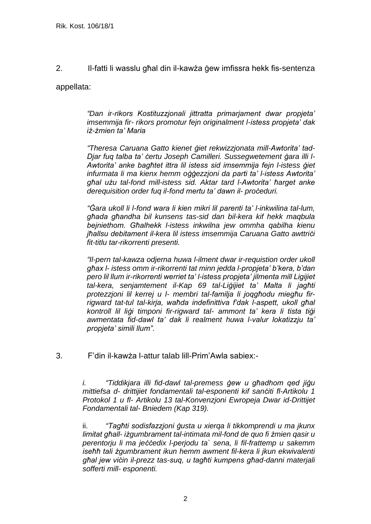2. Il-fatti li wasslu għal din il-kawża ġew imfissra hekk fis-sentenza appellata:

> *"Dan ir-rikors Kostituzzjonali jittratta primarjament dwar propjeta' imsemmija fir- rikors promotur fejn originalment l-istess propjeta' dak iż-żmien ta' Maria*

> *"Theresa Caruana Gatto kienet ġiet rekwizzjonata mill-Awtorita' tad-Djar fuq talba ta' ċertu Joseph Camilleri. Sussegwetement ġara illi l-Awtorita' anke bagħtet ittra lil istess sid imsemmija fejn l-istess ġiet infurmata li ma kienx hemm oġġezzjoni da parti ta' l-istess Awtorita' għal użu tal-fond mill-istess sid. Aktar tard l-Awtorita' ħarget anke derequisition order fuq il-fond mertu ta' dawn il- proċeduri.*

> *"Ġara ukoll li l-fond wara li kien mikri lil parenti ta' l-inkwilina tal-lum, għada għandha bil kunsens tas-sid dan bil-kera kif hekk maqbula bejniethom. Għalhekk l-istess inkwilna jew ommha qabilha kienu jħallsu debitament il-kera lil istess imsemmija Caruana Gatto awttriċi fit-titlu tar-rikorrenti presenti.*

> *"Il-pern tal-kawza odjerna huwa l-ilment dwar ir-requistion order ukoll għax l- istess omm ir-rikorrenti tat minn jedda l-propjeta' b'kera, b'dan pero lil llum ir-rikorrenti werriet ta' l-istess propjeta' jilmenta mill Ligijiet tal-kera, senjamtement il-Kap 69 tal-Liġijiet ta' Malta li jagħti protezzjoni lil kerrej u l- membri tal-familja li joqgħodu miegħu firrigward tat-tul tal-kirja, waħda indefinittiva f'dak l-aspett, ukoll għal kontroll lil liġi timponi fir-rigward tal- ammont ta' kera li tista tiġi awmentata fid-dawl ta' dak li realment huwa l-valur lokatizzju ta' propjeta' simili llum"*.

3. F'din il-kawża l-attur talab lill-Prim'Awla sabiex:-

*i. "Tiddikjara illi fid-dawl tal-premess ġew u għadhom qed jiġu mittiefsa d- drittijiet fondamentali tal-esponenti kif sanċiti fl-Artikolu 1 Protokol 1 u fl- Artikolu 13 tal-Konvenzjoni Ewropeja Dwar id-Drittijet Fondamentali tal- Bniedem (Kap 319).* 

ii. *"Tagħti sodisfazzjoni ġusta u xierqa li tikkomprendi u ma jkunx limitat għall- iżgumbrament tal-intimata mil-fond de quo fi żmien qasir u perentorju li ma jeċċedix l-perjodu ta` sena, li fil-frattemp u sakemm iseħħ tali żgumbrament ikun hemm awment fil-kera li jkun ekwivalenti għal jew viċin il-prezz tas-suq, u tagħti kumpens għad-danni materjali sofferti mill- esponenti.*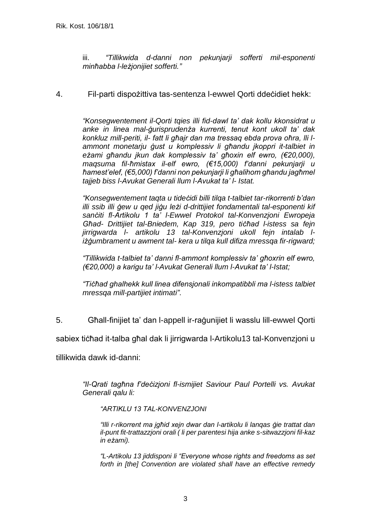iii. *"Tillikwida d-danni non pekunjarji sofferti mil-esponenti minħabba l-leżjonijiet sofferti."*

4. Fil-parti dispożittiva tas-sentenza l-ewwel Qorti ddeċidiet hekk:

*"Konsegwentement il-Qorti tqies illi fid-dawl ta' dak kollu kkonsidrat u anke in linea mal-ġurisprudenża kurrenti, tenut kont ukoll ta' dak konkluz mill-periti, il- fatt li għajr dan ma tressaq ebda prova oħra, lli lammont monetarju ġust u komplessiv li għandu jkoppri it-talbiet in eżami għandu jkun dak komplessiv ta' għoxin elf ewro, (€20,000), maqsuma fil-ħmistax il-elf ewro, (€15,000) f'danni pekunjarji u ħamest'elef, (€5,000) f'danni non pekunjarji li għalihom għandu jagħmel tajjeb biss l-Avukat Generali llum l-Avukat ta' l- Istat.* 

*"Konsegwentement taqta u tideċidi billi tilqa t-talbiet tar-rikorrenti b'dan illi ssib illi ġew u qed jiġu leżi d-drittijiet fondamentali tal-esponenti kif sanċiti fl-Artikolu 1 ta' l-Ewwel Protokol tal-Konvenzjoni Ewropeja Għad- Drittijiet tal-Bniedem, Kap 319, pero tiċħad l-istess sa fejn jirrigwarda l- artikolu 13 tal-Konvenzjoni ukoll fejn intalab liżġumbrament u awment tal- kera u tilqa kull difiza mressqa fir-rigward;* 

*"Tillikwida t-talbiet ta' danni fl-ammont komplessiv ta' għoxrin elf ewro, (€20,000) a karigu ta' l-Avukat Generali llum l-Avukat ta' l-Istat;*

*"Tiċħad ghalhekk kull linea difensjonali inkompatibbli ma l-istess talbiet mressqa mill-partijiet intimati"*.

5. Għall-finijiet ta' dan l-appell ir-raġunijiet li wasslu lill-ewwel Qorti

sabiex tiċħad it-talba għal dak li jirrigwarda l-Artikolu13 tal-Konvenzjoni u

tillikwida dawk id-danni:

*"Il-Qrati tagħna f'deċizjoni fl-ismijiet Saviour Paul Portelli vs. Avukat Generali qalu li:*

*"ARTIKLU 13 TAL-KONVENZJONI* 

*"Illi r-rikorrent ma jgħid xejn dwar dan l-artikolu li lanqas ġie trattat dan il-punt fit-trattazzjoni orali ( li per parentesi hija anke s-sitwazzjoni fil-kaz in eżami).*

*"L-Artikolu 13 jiddisponi li "Everyone whose rights and freedoms as set forth in [the] Convention are violated shall have an effective remedy*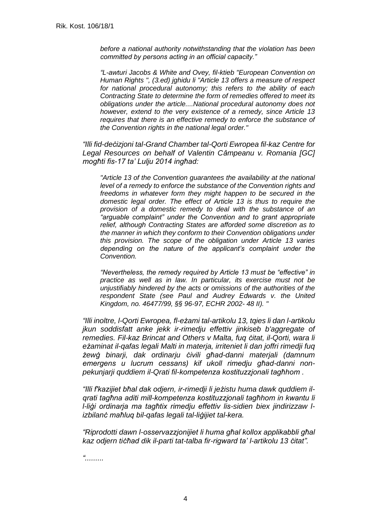*before a national authority notwithstanding that the violation has been committed by persons acting in an official capacity."* 

*"L-awturi Jacobs & White and Ovey, fil-ktieb "European Convention on Human Rights ", (3.ed) jghidu li "Article 13 offers a measure of respect for national procedural autonomy; this refers to the ability of each Contracting State to determine the form of remedies offered to meet its obligations under the article....National procedural autonomy does not however, extend to the very existence of a remedy, since Article 13 requires that there is an effective remedy to enforce the substance of the Convention rights in the national legal order."* 

*"Illi fid-deċizjoni tal-Grand Chamber tal-Qorti Ewropea fil-kaz Centre for Legal Resources on behalf of Valentin Câmpeanu v. Romania [GC] mogħti fis-17 ta' Lulju 2014 ingħad:* 

*"Article 13 of the Convention guarantees the availability at the national level of a remedy to enforce the substance of the Convention rights and freedoms in whatever form they might happen to be secured in the domestic legal order. The effect of Article 13 is thus to require the provision of a domestic remedy to deal with the substance of an "arguable complaint" under the Convention and to grant appropriate relief, although Contracting States are afforded some discretion as to the manner in which they conform to their Convention obligations under this provision. The scope of the obligation under Article 13 varies depending on the nature of the applicant's complaint under the Convention.* 

*"Nevertheless, the remedy required by Article 13 must be "effective" in practice as well as in law. In particular, its exercise must not be unjustifiably hindered by the acts or omissions of the authorities of the respondent State (see Paul and Audrey Edwards v. the United Kingdom, no. 46477/99, §§ 96-97, ECHR 2002- 48 II). "* 

*"Illi inoltre, l-Qorti Ewropea, fl-eżami tal-artikolu 13, tqies li dan l-artikolu jkun soddisfatt anke jekk ir-rimedju effettiv jinkiseb b'aggregate of remedies. Fil-kaz Brincat and Others v Malta, fuq ċitat, il-Qorti, wara li eżaminat il-qafas legali Malti in materja, irriteniet li dan joffri rimedji fuq żewġ binarji, dak ordinarju ċivili għad-danni materjali (damnum emergens u lucrum cessans) kif ukoll rimedju għad-danni nonpekunjarji quddiem il-Qrati fil-kompetenza kostituzzjonali tagħhom .* 

*"Illi f'kazijiet bħal dak odjern, ir-rimedji li jeżistu huma dawk quddiem ilqrati tagħna aditi mill-kompetenza kostituzzjonali tagħhom in kwantu li l-liġi ordinarja ma tagħtix rimedju effettiv lis-sidien biex jindirizzaw lizbilanċ maħluq bil-qafas legali tal-liġijiet tal-kera.* 

*"Riprodotti dawn l-osservazzjonijiet li huma għal kollox applikabbli għal kaz odjern tiċħad dik il-parti tat-talba fir-rigward ta' l-artikolu 13 ċitat".* 

*".........*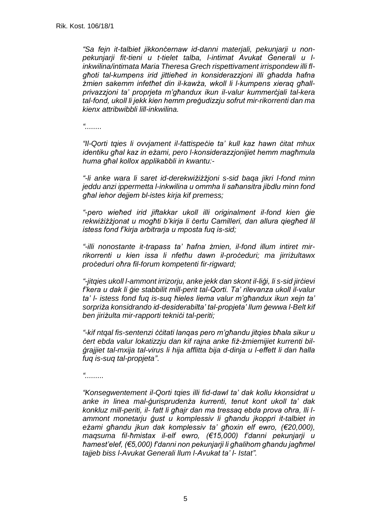*"Sa fejn it-talbiet jikkonċernaw id-danni materjali, pekunjarji u nonpekunjarji fit-tieni u t-tielet talba, l-intimat Avukat Ġenerali u linkwilina/intimata Maria Theresa Grech rispettivament irrispondew illi flgħoti tal-kumpens irid jittieħed in konsiderazzjoni illi għadda ħafna żmien sakemm infetħet din il-kawża, wkoll li l-kumpens xieraq għallprivazzjoni ta' proprjeta m'għandux ikun il-valur kummerċjali tal-kera tal-fond, ukoll li jekk kien hemm preġudizzju sofrut mir-rikorrenti dan ma kienx attribwibbli lill-inkwilina.*

*"........*

*"Il-Qorti tqies li ovvjament il-fattispeċie ta' kull kaz hawn ċitat mhux identiku għal kaz in eżami, pero l-konsiderazzjonijiet hemm magħmula huma għal kollox applikabbli in kwantu:-*

*"-li anke wara li saret id-derekwiżiżżjoni s-sid baqa jikri l-fond minn jeddu anzi ippermetta l-inkwilina u ommha li saħansitra jibdlu minn fond għal iehor dejjem bl-istes kirja kif premess;* 

*"-pero wieħed irid jiftakkar ukoll illi originalment il-fond kien ġie rekwiżiżżjonat u mogħti b'kirja li ċertu Camilleri, dan allura qiegħed lil istess fond f'kirja arbitrarja u mposta fuq is-sid;* 

*"-illi nonostante it-trapass ta' ħafna żmien, il-fond illum intiret mirrikorrenti u kien issa li nfetħu dawn il-proċeduri; ma jirriżultawx proċeduri oħra fil-forum kompetenti fir-rigward;* 

*"-jitqies ukoll l-ammont irrizorju, anke jekk dan skont il-liġi, li s-sid jirċievi f'kera u dak li ġie stabbilit mill-perit tal-Qorti. Ta' rilevanza ukoll il-valur ta' l- istess fond fuq is-suq ħieles liema valur m'għandux ikun xejn ta' sorpriża konsidrando id-desiderabilta' tal-propjeta' llum ġewwa l-Belt kif ben jiriżulta mir-rapporti tekniċi tal-periti;* 

*"-kif ntqal fis-sentenzi ċċitati lanqas pero m'għandu jitqies bħala sikur u ċert ebda valur lokatizzju dan kif rajna anke fiż-żmiemijiet kurrenti bilġrajjiet tal-mxija tal-virus li hija afflitta bija d-dinja u l-effett li dan ħalla fuq is-suq tal-propjeta"*.

*".........*

*"Konsegwentement il-Qorti tqies illi fid-dawl ta' dak kollu kkonsidrat u anke in linea mal-ġurisprudenża kurrenti, tenut kont ukoll ta' dak konkluz mill-periti, il- fatt li għajr dan ma tressaq ebda prova oħra, lli lammont monetarju ġust u komplessiv li għandu jkoppri it-talbiet in eżami għandu jkun dak komplessiv ta' għoxin elf ewro, (€20,000), maqsuma fil-ħmistax il-elf ewro, (€15,000) f'danni pekunjarji u ħamest'elef, (€5,000) f'danni non pekunjarji li għalihom għandu jagħmel tajjeb biss l-Avukat Generali llum l-Avukat ta' l- Istat".*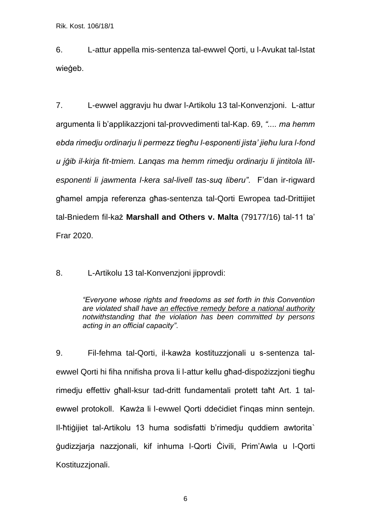6. L-attur appella mis-sentenza tal-ewwel Qorti, u l-Avukat tal-Istat wieġeb.

7. L-ewwel aggravju hu dwar l-Artikolu 13 tal-Konvenzjoni. L-attur argumenta li b'applikazzjoni tal-provvedimenti tal-Kap. 69, *".... ma hemm ebda rimedju ordinarju li permezz tiegħu l-esponenti jista' jieħu lura l-fond u jġib il-kirja fit-tmiem. Lanqas ma hemm rimedju ordinarju li jintitola lillesponenti li jawmenta l-kera sal-livell tas-suq liberu"*. F'dan ir-rigward għamel ampja referenza għas-sentenza tal-Qorti Ewropea tad-Drittijiet tal-Bniedem fil-każ **Marshall and Others v. Malta** (79177/16) tal-11 ta' Frar 2020.

8. L-Artikolu 13 tal-Konvenzjoni jipprovdi:

*"Everyone whose rights and freedoms as set forth in this Convention are violated shall have an effective remedy before a national authority notwithstanding that the violation has been committed by persons acting in an official capacity"*.

9. Fil-fehma tal-Qorti, il-kawża kostituzzjonali u s-sentenza talewwel Qorti hi fiha nnifisha prova li l-attur kellu għad-dispożizzjoni tiegħu rimedju effettiv għall-ksur tad-dritt fundamentali protett taħt Art. 1 talewwel protokoll. Kawża li l-ewwel Qorti ddeċidiet f'inqas minn sentejn. Il-ħtiġijiet tal-Artikolu 13 huma sodisfatti b'rimediu guddiem awtorita` ġudizzjarja nazzjonali, kif inhuma l-Qorti Ċivili, Prim'Awla u l-Qorti Kostituzzjonali.

6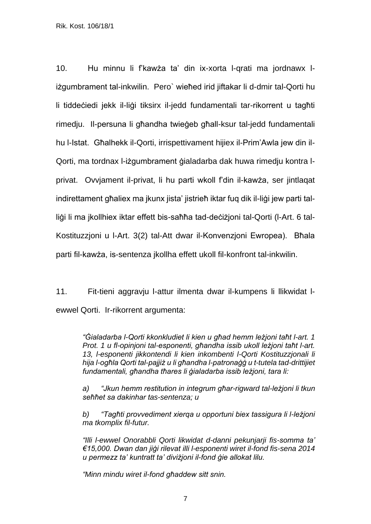10. Hu minnu li f'kawża ta' din ix-xorta l-qrati ma jordnawx liżgumbrament tal-inkwilin. Pero` wieħed irid jiftakar li d-dmir tal-Qorti hu li tiddeċiedi jekk il-liġi tiksirx il-jedd fundamentali tar-rikorrent u tagħti rimedju. Il-persuna li għandha twieġeb għall-ksur tal-jedd fundamentali hu l-Istat. Għalhekk il-Qorti, irrispettivament hijiex il-Prim'Awla jew din il-Qorti, ma tordnax l-iżgumbrament ġialadarba dak huwa rimedju kontra lprivat. Ovvjament il-privat, li hu parti wkoll f'din il-kawża, ser jintlaqat indirettament għaliex ma jkunx jista' jistrieħ iktar fuq dik il-liġi jew parti talliġi li ma jkollhiex iktar effett bis-saħħa tad-deċiżjoni tal-Qorti (l-Art. 6 tal-Kostituzzjoni u l-Art. 3(2) tal-Att dwar il-Konvenzjoni Ewropea). Bħala parti fil-kawża, is-sentenza jkollha effett ukoll fil-konfront tal-inkwilin.

11. Fit-tieni aggravju l-attur ilmenta dwar il-kumpens li llikwidat lewwel Qorti. Ir-rikorrent argumenta:

> *"Ġialadarba l-Qorti kkonkludiet li kien u għad hemm leżjoni taħt l-art. 1 Prot. 1 u fl-opinjoni tal-esponenti, għandha issib ukoll leżjoni taħt l-art. 13, l-esponenti jikkontendi li kien inkombenti l-Qorti Kostituzzjonali li hija l-ogħla Qorti tal-pajjiż u li għandha l-patronaġġ u t-tutela tad-drittijiet fundamentali, għandha tħares li ġialadarba issib leżjoni, tara li:*

> *a) "Jkun hemm restitution in integrum għar-rigward tal-leżjoni li tkun seħħet sa dakinhar tas-sentenza; u*

> *b) "Tagħti provvediment xierqa u opportuni biex tassigura li l-leżjoni ma tkomplix fil-futur.*

> *"Illi l-ewwel Onorabbli Qorti likwidat d-danni pekunjarji fis-somma ta' €15,000. Dwan dan jiġi rilevat illi l-esponenti wiret il-fond fis-sena 2014 u permezz ta' kuntratt ta' diviżjoni il-fond ġie allokat lilu.*

*"Minn mindu wiret il-fond għaddew sitt snin.*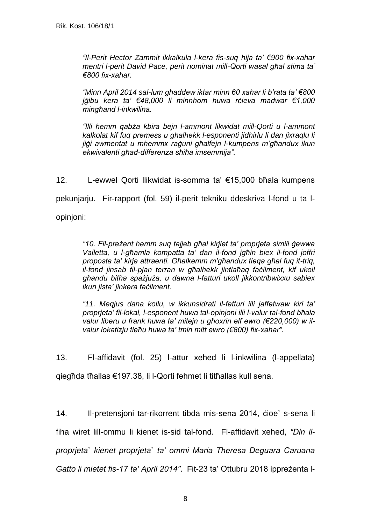*"Il-Perit Hector Zammit ikkalkula l-kera fis-suq hija ta' €900 fix-xahar mentri l-perit David Pace, perit nominat mill-Qorti wasal għal stima ta' €800 fix-xahar.*

*"Minn April 2014 sal-lum għaddew iktar minn 60 xahar li b'rata ta' €800 jġibu kera ta' €48,000 li minnhom huwa rċieva madwar €1,000 mingħand l-inkwilina.*

*"Illi hemm qabża kbira bejn l-ammont likwidat mill-Qorti u l-ammont kalkolat kif fuq premess u għalhekk l-esponenti jidhirlu li dan jixraqlu li jiġi awmentat u mhemmx raġuni għalfejn l-kumpens m'għandux ikun ekwivalenti għad-differenza sħiħa imsemmija".*

12. L-ewwel Qorti llikwidat is-somma ta' €15,000 bħala kumpens pekunjarju. Fir-rapport (fol. 59) il-perit tekniku ddeskriva l-fond u ta lopinjoni:

> *"10. Fil-preżent hemm suq tajjeb għal kirjiet ta' proprjeta simili ġewwa Valletta, u l-għamla kompatta ta' dan il-fond jgħin biex il-fond joffri proposta ta' kirja attraenti. Għalkemm m'għandux tieqa għal fuq it-triq, il-fond jinsab fil-pjan terran w għalhekk jintlaħaq faċilment, kif ukoll għandu bitħa spażjuża, u dawna l-fatturi ukoll jikkontribwixxu sabiex ikun jista' jinkera faċilment.*

> *"11. Meqjus dana kollu, w ikkunsidrati il-fatturi illi jaffetwaw kiri ta' proprjeta' fil-lokal, l-esponent huwa tal-opinjoni illi l-valur tal-fond bħala valur liberu u frank huwa ta' mitejn u għoxrin elf ewro (€220,000) w ilvalur lokatizju tieħu huwa ta' tmin mitt ewro (€800) fix-xahar"*.

13. Fl-affidavit (fol. 25) l-attur xehed li l-inkwilina (l-appellata) qiegħda tħallas €197.38, li l-Qorti fehmet li titħallas kull sena.

14. Il-pretensjoni tar-rikorrent tibda mis-sena 2014, ċioe` s-sena li fiha wiret lill-ommu li kienet is-sid tal-fond. Fl-affidavit xehed, *"Din ilproprjeta` kienet proprjeta` ta' ommi Maria Theresa Deguara Caruana Gatto li mietet fis-17 ta' April 2014"*. Fit-23 ta' Ottubru 2018 ippreżenta l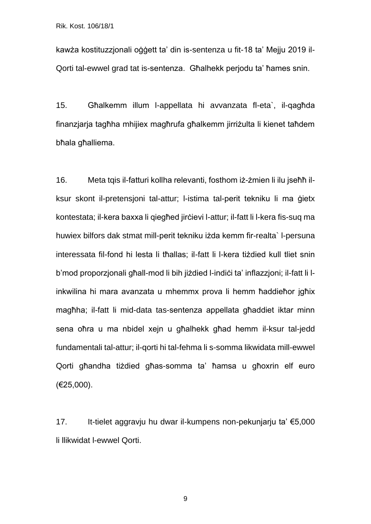kawża kostituzzjonali oġġett ta' din is-sentenza u fit-18 ta' Mejju 2019 il-Qorti tal-ewwel grad tat is-sentenza. Għalhekk perjodu ta' ħames snin.

15. Għalkemm illum l-appellata hi avvanzata fl-eta`, il-qagħda finanzjarja tagħha mhijiex magħrufa għalkemm jirriżulta li kienet taħdem bħala għalliema.

16. Meta tqis il-fatturi kollha relevanti, fosthom iż-żmien li ilu jseħħ ilksur skont il-pretensjoni tal-attur; l-istima tal-perit tekniku li ma ġietx kontestata; il-kera baxxa li qiegħed jirċievi l-attur; il-fatt li l-kera fis-suq ma huwiex bilfors dak stmat mill-perit tekniku iżda kemm fir-realta` l-persuna interessata fil-fond hi lesta li tħallas; il-fatt li l-kera tiżdied kull tliet snin b'mod proporzjonali għall-mod li bih jiżdied l-indiċi ta' inflazzjoni; il-fatt li linkwilina hi mara avanzata u mhemmx prova li hemm ħaddieħor jgħix magħha; il-fatt li mid-data tas-sentenza appellata għaddiet iktar minn sena oħra u ma nbidel xejn u għalhekk għad hemm il-ksur tal-jedd fundamentali tal-attur; il-qorti hi tal-fehma li s-somma likwidata mill-ewwel Qorti għandha tiżdied għas-somma ta' ħamsa u għoxrin elf euro (€25,000).

17. It-tielet aggravju hu dwar il-kumpens non-pekunjarju ta' €5,000 li llikwidat l-ewwel Qorti.

9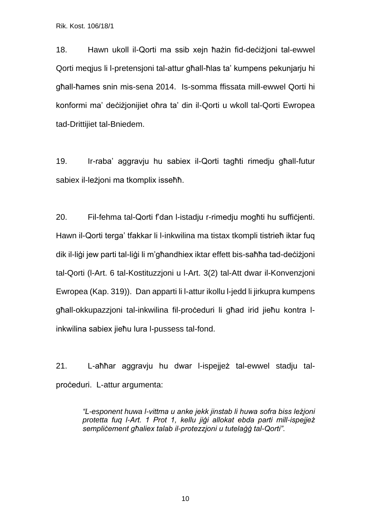18. Hawn ukoll il-Qorti ma ssib xejn ħażin fid-deċiżjoni tal-ewwel Qorti meqjus li l-pretensjoni tal-attur għall-ħlas ta' kumpens pekunjarju hi għall-ħames snin mis-sena 2014. Is-somma ffissata mill-ewwel Qorti hi konformi ma' deċiżjonijiet oħra ta' din il-Qorti u wkoll tal-Qorti Ewropea tad-Drittijiet tal-Bniedem.

19. Ir-raba' aggravju hu sabiex il-Qorti tagħti rimedju għall-futur sabiex il-leżjoni ma tkomplix isseħħ.

20. Fil-fehma tal-Qorti f'dan l-istadju r-rimedju mogħti hu suffiċjenti. Hawn il-Qorti terga' tfakkar li l-inkwilina ma tistax tkompli tistrieħ iktar fuq dik il-liġi jew parti tal-liġi li m'għandhiex iktar effett bis-saħħa tad-deċiżjoni tal-Qorti (l-Art. 6 tal-Kostituzzjoni u l-Art. 3(2) tal-Att dwar il-Konvenzjoni Ewropea (Kap. 319)). Dan apparti li l-attur ikollu l-jedd li jirkupra kumpens għall-okkupazzjoni tal-inkwilina fil-proċeduri li għad irid jieħu kontra linkwilina sabiex jieħu lura l-pussess tal-fond.

21. L-aħħar aggravju hu dwar l-ispejjeż tal-ewwel stadju talproċeduri. L-attur argumenta:

> *"L-esponent huwa l-vittma u anke jekk jinstab li huwa sofra biss leżjoni protetta fuq l-Art. 1 Prot 1, kellu jiġi allokat ebda parti mill-ispejjeż sempliċement għaliex talab il-protezzjoni u tutelaġġ tal-Qorti"*.

> > 10